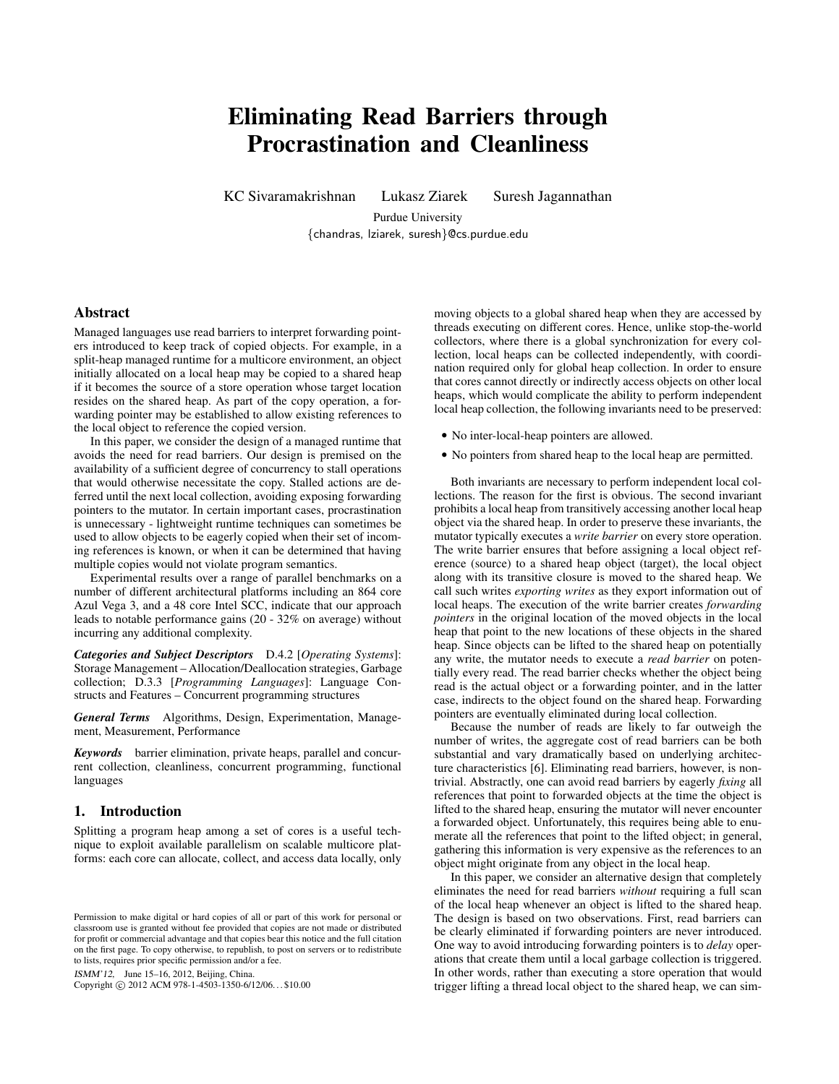# Eliminating Read Barriers through Procrastination and Cleanliness

KC Sivaramakrishnan Lukasz Ziarek Suresh Jagannathan

Purdue University {chandras, lziarek, suresh}@cs.purdue.edu

# Abstract

Managed languages use read barriers to interpret forwarding pointers introduced to keep track of copied objects. For example, in a split-heap managed runtime for a multicore environment, an object initially allocated on a local heap may be copied to a shared heap if it becomes the source of a store operation whose target location resides on the shared heap. As part of the copy operation, a forwarding pointer may be established to allow existing references to the local object to reference the copied version.

In this paper, we consider the design of a managed runtime that avoids the need for read barriers. Our design is premised on the availability of a sufficient degree of concurrency to stall operations that would otherwise necessitate the copy. Stalled actions are deferred until the next local collection, avoiding exposing forwarding pointers to the mutator. In certain important cases, procrastination is unnecessary - lightweight runtime techniques can sometimes be used to allow objects to be eagerly copied when their set of incoming references is known, or when it can be determined that having multiple copies would not violate program semantics.

Experimental results over a range of parallel benchmarks on a number of different architectural platforms including an 864 core Azul Vega 3, and a 48 core Intel SCC, indicate that our approach leads to notable performance gains (20 - 32% on average) without incurring any additional complexity.

*Categories and Subject Descriptors* D.4.2 [*Operating Systems*]: Storage Management – Allocation/Deallocation strategies, Garbage collection; D.3.3 [*Programming Languages*]: Language Constructs and Features – Concurrent programming structures

*General Terms* Algorithms, Design, Experimentation, Management, Measurement, Performance

*Keywords* barrier elimination, private heaps, parallel and concurrent collection, cleanliness, concurrent programming, functional languages

# 1. Introduction

Splitting a program heap among a set of cores is a useful technique to exploit available parallelism on scalable multicore platforms: each core can allocate, collect, and access data locally, only

ISMM'12, June 15–16, 2012, Beijing, China.

Copyright © 2012 ACM 978-1-4503-1350-6/12/06... \$10.00

moving objects to a global shared heap when they are accessed by threads executing on different cores. Hence, unlike stop-the-world collectors, where there is a global synchronization for every collection, local heaps can be collected independently, with coordination required only for global heap collection. In order to ensure that cores cannot directly or indirectly access objects on other local heaps, which would complicate the ability to perform independent local heap collection, the following invariants need to be preserved:

- No inter-local-heap pointers are allowed.
- No pointers from shared heap to the local heap are permitted.

Both invariants are necessary to perform independent local collections. The reason for the first is obvious. The second invariant prohibits a local heap from transitively accessing another local heap object via the shared heap. In order to preserve these invariants, the mutator typically executes a *write barrier* on every store operation. The write barrier ensures that before assigning a local object reference (source) to a shared heap object (target), the local object along with its transitive closure is moved to the shared heap. We call such writes *exporting writes* as they export information out of local heaps. The execution of the write barrier creates *forwarding pointers* in the original location of the moved objects in the local heap that point to the new locations of these objects in the shared heap. Since objects can be lifted to the shared heap on potentially any write, the mutator needs to execute a *read barrier* on potentially every read. The read barrier checks whether the object being read is the actual object or a forwarding pointer, and in the latter case, indirects to the object found on the shared heap. Forwarding pointers are eventually eliminated during local collection.

Because the number of reads are likely to far outweigh the number of writes, the aggregate cost of read barriers can be both substantial and vary dramatically based on underlying architecture characteristics [6]. Eliminating read barriers, however, is nontrivial. Abstractly, one can avoid read barriers by eagerly *fixing* all references that point to forwarded objects at the time the object is lifted to the shared heap, ensuring the mutator will never encounter a forwarded object. Unfortunately, this requires being able to enumerate all the references that point to the lifted object; in general, gathering this information is very expensive as the references to an object might originate from any object in the local heap.

In this paper, we consider an alternative design that completely eliminates the need for read barriers *without* requiring a full scan of the local heap whenever an object is lifted to the shared heap. The design is based on two observations. First, read barriers can be clearly eliminated if forwarding pointers are never introduced. One way to avoid introducing forwarding pointers is to *delay* operations that create them until a local garbage collection is triggered. In other words, rather than executing a store operation that would trigger lifting a thread local object to the shared heap, we can sim-

Permission to make digital or hard copies of all or part of this work for personal or classroom use is granted without fee provided that copies are not made or distributed for profit or commercial advantage and that copies bear this notice and the full citation on the first page. To copy otherwise, to republish, to post on servers or to redistribute to lists, requires prior specific permission and/or a fee.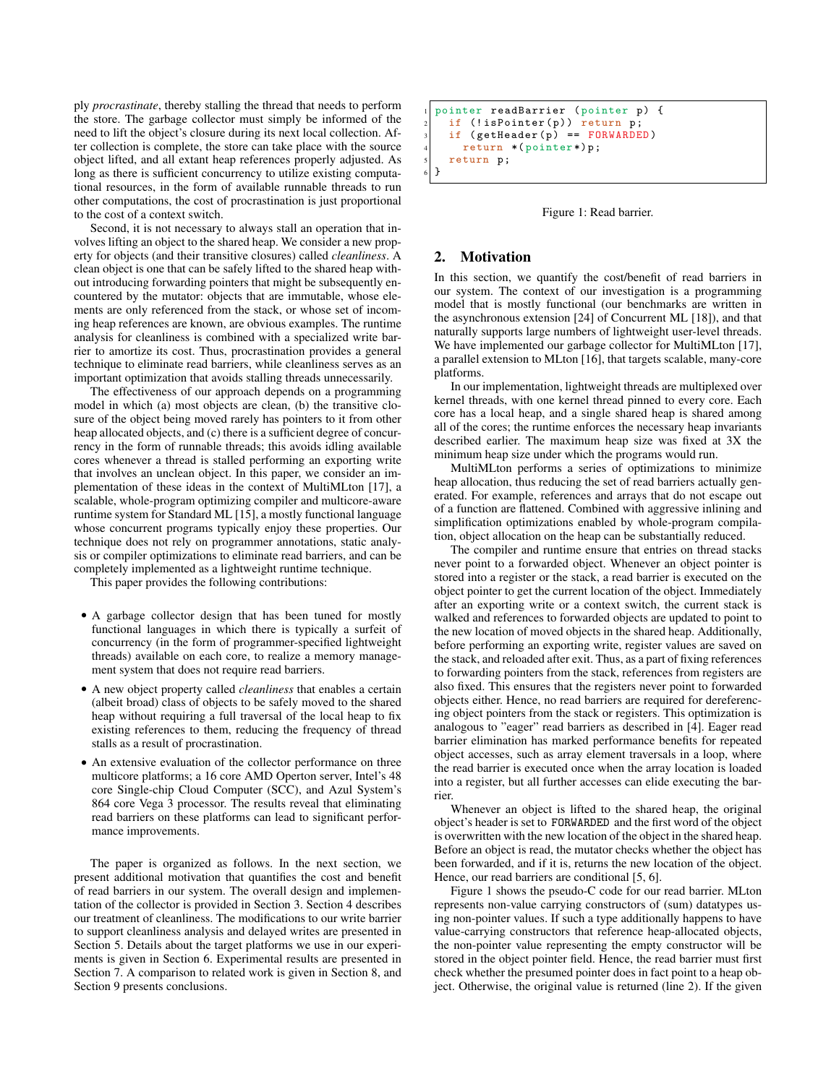ply *procrastinate*, thereby stalling the thread that needs to perform the store. The garbage collector must simply be informed of the need to lift the object's closure during its next local collection. After collection is complete, the store can take place with the source object lifted, and all extant heap references properly adjusted. As long as there is sufficient concurrency to utilize existing computational resources, in the form of available runnable threads to run other computations, the cost of procrastination is just proportional to the cost of a context switch.

Second, it is not necessary to always stall an operation that involves lifting an object to the shared heap. We consider a new property for objects (and their transitive closures) called *cleanliness*. A clean object is one that can be safely lifted to the shared heap without introducing forwarding pointers that might be subsequently encountered by the mutator: objects that are immutable, whose elements are only referenced from the stack, or whose set of incoming heap references are known, are obvious examples. The runtime analysis for cleanliness is combined with a specialized write barrier to amortize its cost. Thus, procrastination provides a general technique to eliminate read barriers, while cleanliness serves as an important optimization that avoids stalling threads unnecessarily.

The effectiveness of our approach depends on a programming model in which (a) most objects are clean, (b) the transitive closure of the object being moved rarely has pointers to it from other heap allocated objects, and (c) there is a sufficient degree of concurrency in the form of runnable threads; this avoids idling available cores whenever a thread is stalled performing an exporting write that involves an unclean object. In this paper, we consider an implementation of these ideas in the context of MultiMLton [17], a scalable, whole-program optimizing compiler and multicore-aware runtime system for Standard ML [15], a mostly functional language whose concurrent programs typically enjoy these properties. Our technique does not rely on programmer annotations, static analysis or compiler optimizations to eliminate read barriers, and can be completely implemented as a lightweight runtime technique.

This paper provides the following contributions:

- A garbage collector design that has been tuned for mostly functional languages in which there is typically a surfeit of concurrency (in the form of programmer-specified lightweight threads) available on each core, to realize a memory management system that does not require read barriers.
- A new object property called *cleanliness* that enables a certain (albeit broad) class of objects to be safely moved to the shared heap without requiring a full traversal of the local heap to fix existing references to them, reducing the frequency of thread stalls as a result of procrastination.
- An extensive evaluation of the collector performance on three multicore platforms; a 16 core AMD Operton server, Intel's 48 core Single-chip Cloud Computer (SCC), and Azul System's 864 core Vega 3 processor. The results reveal that eliminating read barriers on these platforms can lead to significant performance improvements.

The paper is organized as follows. In the next section, we present additional motivation that quantifies the cost and benefit of read barriers in our system. The overall design and implementation of the collector is provided in Section 3. Section 4 describes our treatment of cleanliness. The modifications to our write barrier to support cleanliness analysis and delayed writes are presented in Section 5. Details about the target platforms we use in our experiments is given in Section 6. Experimental results are presented in Section 7. A comparison to related work is given in Section 8, and Section 9 presents conclusions.

```
pointer readBarrier (pointer p) {
  if (!isPointer(p)) return p;
  if (getHeader ( p) == FORMARDED)return *(pointer*)p;
  return p;
6 }
```


# 2. Motivation

In this section, we quantify the cost/benefit of read barriers in our system. The context of our investigation is a programming model that is mostly functional (our benchmarks are written in the asynchronous extension [24] of Concurrent ML [18]), and that naturally supports large numbers of lightweight user-level threads. We have implemented our garbage collector for MultiMLton [17], a parallel extension to MLton [16], that targets scalable, many-core platforms.

In our implementation, lightweight threads are multiplexed over kernel threads, with one kernel thread pinned to every core. Each core has a local heap, and a single shared heap is shared among all of the cores; the runtime enforces the necessary heap invariants described earlier. The maximum heap size was fixed at 3X the minimum heap size under which the programs would run.

MultiMLton performs a series of optimizations to minimize heap allocation, thus reducing the set of read barriers actually generated. For example, references and arrays that do not escape out of a function are flattened. Combined with aggressive inlining and simplification optimizations enabled by whole-program compilation, object allocation on the heap can be substantially reduced.

The compiler and runtime ensure that entries on thread stacks never point to a forwarded object. Whenever an object pointer is stored into a register or the stack, a read barrier is executed on the object pointer to get the current location of the object. Immediately after an exporting write or a context switch, the current stack is walked and references to forwarded objects are updated to point to the new location of moved objects in the shared heap. Additionally, before performing an exporting write, register values are saved on the stack, and reloaded after exit. Thus, as a part of fixing references to forwarding pointers from the stack, references from registers are also fixed. This ensures that the registers never point to forwarded objects either. Hence, no read barriers are required for dereferencing object pointers from the stack or registers. This optimization is analogous to "eager" read barriers as described in [4]. Eager read barrier elimination has marked performance benefits for repeated object accesses, such as array element traversals in a loop, where the read barrier is executed once when the array location is loaded into a register, but all further accesses can elide executing the barrier.

Whenever an object is lifted to the shared heap, the original object's header is set to FORWARDED and the first word of the object is overwritten with the new location of the object in the shared heap. Before an object is read, the mutator checks whether the object has been forwarded, and if it is, returns the new location of the object. Hence, our read barriers are conditional [5, 6].

Figure 1 shows the pseudo-C code for our read barrier. MLton represents non-value carrying constructors of (sum) datatypes using non-pointer values. If such a type additionally happens to have value-carrying constructors that reference heap-allocated objects, the non-pointer value representing the empty constructor will be stored in the object pointer field. Hence, the read barrier must first check whether the presumed pointer does in fact point to a heap object. Otherwise, the original value is returned (line 2). If the given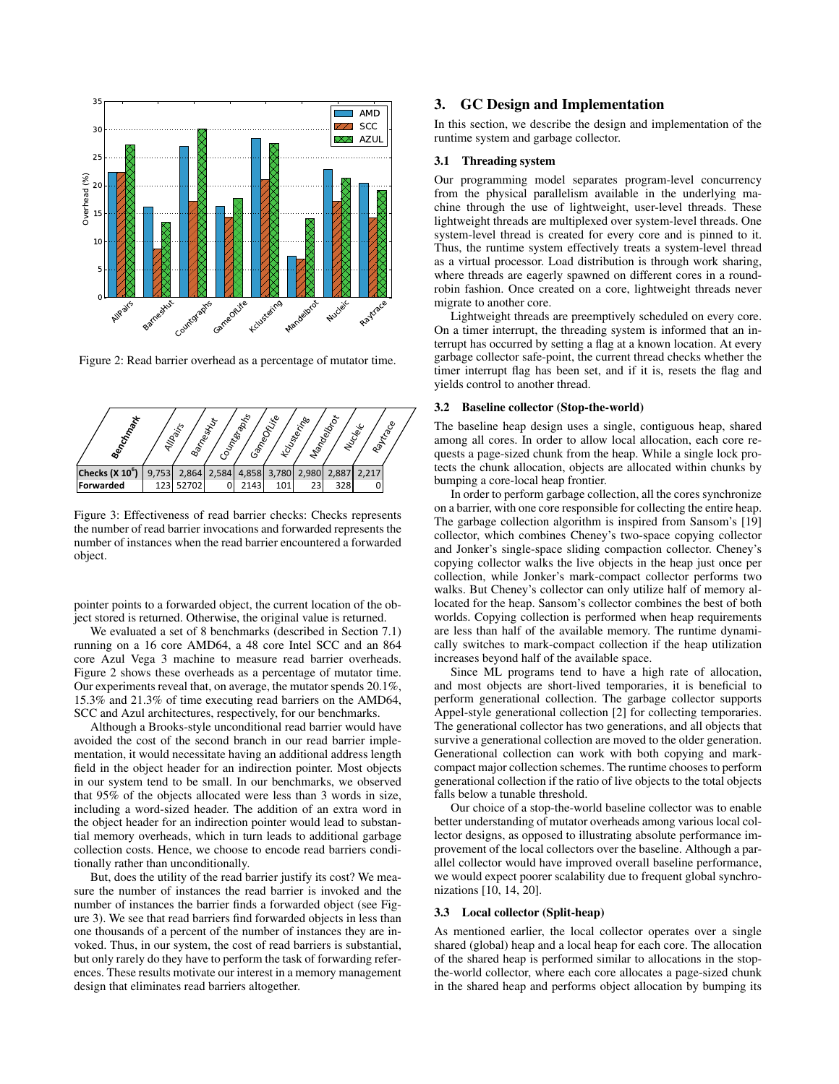

Figure 2: Read barrier overhead as a percentage of mutator time.



Figure 3: Effectiveness of read barrier checks: Checks represents the number of read barrier invocations and forwarded represents the number of instances when the read barrier encountered a forwarded object.

pointer points to a forwarded object, the current location of the object stored is returned. Otherwise, the original value is returned.

We evaluated a set of 8 benchmarks (described in Section 7.1) running on a 16 core AMD64, a 48 core Intel SCC and an 864 core Azul Vega 3 machine to measure read barrier overheads. Figure 2 shows these overheads as a percentage of mutator time. Our experiments reveal that, on average, the mutator spends 20.1%, 15.3% and 21.3% of time executing read barriers on the AMD64, SCC and Azul architectures, respectively, for our benchmarks.

Although a Brooks-style unconditional read barrier would have avoided the cost of the second branch in our read barrier implementation, it would necessitate having an additional address length field in the object header for an indirection pointer. Most objects in our system tend to be small. In our benchmarks, we observed that 95% of the objects allocated were less than 3 words in size, including a word-sized header. The addition of an extra word in the object header for an indirection pointer would lead to substantial memory overheads, which in turn leads to additional garbage collection costs. Hence, we choose to encode read barriers conditionally rather than unconditionally.

But, does the utility of the read barrier justify its cost? We measure the number of instances the read barrier is invoked and the number of instances the barrier finds a forwarded object (see Figure 3). We see that read barriers find forwarded objects in less than one thousands of a percent of the number of instances they are invoked. Thus, in our system, the cost of read barriers is substantial, but only rarely do they have to perform the task of forwarding references. These results motivate our interest in a memory management design that eliminates read barriers altogether.

# 3. GC Design and Implementation

In this section, we describe the design and implementation of the runtime system and garbage collector.

## 3.1 Threading system

Our programming model separates program-level concurrency from the physical parallelism available in the underlying machine through the use of lightweight, user-level threads. These lightweight threads are multiplexed over system-level threads. One system-level thread is created for every core and is pinned to it. Thus, the runtime system effectively treats a system-level thread as a virtual processor. Load distribution is through work sharing, where threads are eagerly spawned on different cores in a roundrobin fashion. Once created on a core, lightweight threads never migrate to another core.

Lightweight threads are preemptively scheduled on every core. On a timer interrupt, the threading system is informed that an interrupt has occurred by setting a flag at a known location. At every garbage collector safe-point, the current thread checks whether the timer interrupt flag has been set, and if it is, resets the flag and yields control to another thread.

# 3.2 Baseline collector (Stop-the-world)

The baseline heap design uses a single, contiguous heap, shared among all cores. In order to allow local allocation, each core requests a page-sized chunk from the heap. While a single lock protects the chunk allocation, objects are allocated within chunks by bumping a core-local heap frontier.

In order to perform garbage collection, all the cores synchronize on a barrier, with one core responsible for collecting the entire heap. The garbage collection algorithm is inspired from Sansom's [19] collector, which combines Cheney's two-space copying collector and Jonker's single-space sliding compaction collector. Cheney's copying collector walks the live objects in the heap just once per collection, while Jonker's mark-compact collector performs two walks. But Cheney's collector can only utilize half of memory allocated for the heap. Sansom's collector combines the best of both worlds. Copying collection is performed when heap requirements are less than half of the available memory. The runtime dynamically switches to mark-compact collection if the heap utilization increases beyond half of the available space.

Since ML programs tend to have a high rate of allocation, and most objects are short-lived temporaries, it is beneficial to perform generational collection. The garbage collector supports Appel-style generational collection [2] for collecting temporaries. The generational collector has two generations, and all objects that survive a generational collection are moved to the older generation. Generational collection can work with both copying and markcompact major collection schemes. The runtime chooses to perform generational collection if the ratio of live objects to the total objects falls below a tunable threshold.

Our choice of a stop-the-world baseline collector was to enable better understanding of mutator overheads among various local collector designs, as opposed to illustrating absolute performance improvement of the local collectors over the baseline. Although a parallel collector would have improved overall baseline performance, we would expect poorer scalability due to frequent global synchronizations [10, 14, 20].

### 3.3 Local collector (Split-heap)

As mentioned earlier, the local collector operates over a single shared (global) heap and a local heap for each core. The allocation of the shared heap is performed similar to allocations in the stopthe-world collector, where each core allocates a page-sized chunk in the shared heap and performs object allocation by bumping its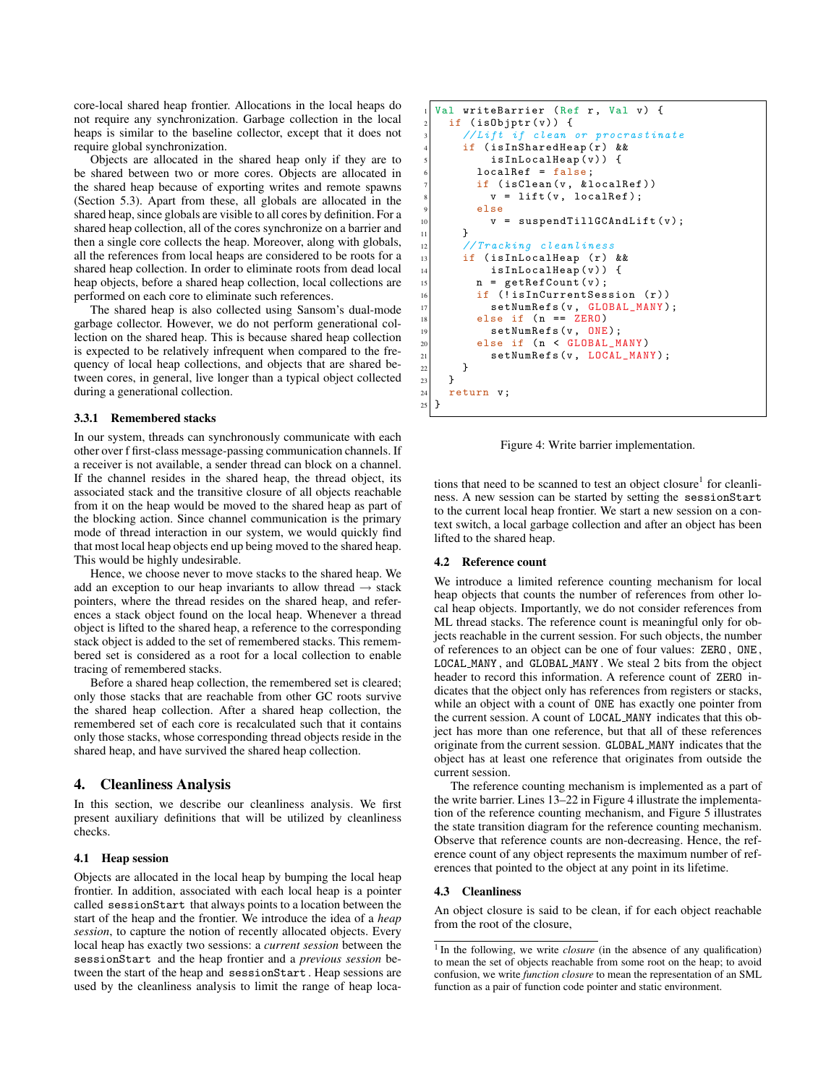core-local shared heap frontier. Allocations in the local heaps do not require any synchronization. Garbage collection in the local heaps is similar to the baseline collector, except that it does not require global synchronization.

Objects are allocated in the shared heap only if they are to be shared between two or more cores. Objects are allocated in the shared heap because of exporting writes and remote spawns (Section 5.3). Apart from these, all globals are allocated in the shared heap, since globals are visible to all cores by definition. For a shared heap collection, all of the cores synchronize on a barrier and then a single core collects the heap. Moreover, along with globals, all the references from local heaps are considered to be roots for a shared heap collection. In order to eliminate roots from dead local heap objects, before a shared heap collection, local collections are performed on each core to eliminate such references.

The shared heap is also collected using Sansom's dual-mode garbage collector. However, we do not perform generational collection on the shared heap. This is because shared heap collection is expected to be relatively infrequent when compared to the frequency of local heap collections, and objects that are shared between cores, in general, live longer than a typical object collected during a generational collection.

#### 3.3.1 Remembered stacks

In our system, threads can synchronously communicate with each other over f first-class message-passing communication channels. If a receiver is not available, a sender thread can block on a channel. If the channel resides in the shared heap, the thread object, its associated stack and the transitive closure of all objects reachable from it on the heap would be moved to the shared heap as part of the blocking action. Since channel communication is the primary mode of thread interaction in our system, we would quickly find that most local heap objects end up being moved to the shared heap. This would be highly undesirable.

Hence, we choose never to move stacks to the shared heap. We add an exception to our heap invariants to allow thread  $\rightarrow$  stack pointers, where the thread resides on the shared heap, and references a stack object found on the local heap. Whenever a thread object is lifted to the shared heap, a reference to the corresponding stack object is added to the set of remembered stacks. This remembered set is considered as a root for a local collection to enable tracing of remembered stacks.

Before a shared heap collection, the remembered set is cleared; only those stacks that are reachable from other GC roots survive the shared heap collection. After a shared heap collection, the remembered set of each core is recalculated such that it contains only those stacks, whose corresponding thread objects reside in the shared heap, and have survived the shared heap collection.

## 4. Cleanliness Analysis

In this section, we describe our cleanliness analysis. We first present auxiliary definitions that will be utilized by cleanliness checks.

#### 4.1 Heap session

Objects are allocated in the local heap by bumping the local heap frontier. In addition, associated with each local heap is a pointer called sessionStart that always points to a location between the start of the heap and the frontier. We introduce the idea of a *heap session*, to capture the notion of recently allocated objects. Every local heap has exactly two sessions: a *current session* between the sessionStart and the heap frontier and a *previous session* between the start of the heap and sessionStart . Heap sessions are used by the cleanliness analysis to limit the range of heap loca-

```
Val writeBarrier (Ref r, Val v) {
    if (isObjptr(v)) {
      //Lift if clean or procrastinate
      if ( is In Shared Heap ( r) & &
         isInLocalHeap(v)) {
        localRef = false;if ( isClean (v, & localRef))
         v = \text{lift}(v, \text{ localRef});else
         v = suspendTillGCAndLift (v);
11 }
12 // Tracking cleanliness
13 if (isInLocalHeap (r) &&
|14| isInLocalHeap (v)) {
n = getRefCount(v);16 if (!isInCurrentSession (r))
17 SetNumRefs (v, GLOBAL_MANY);
18 else if (n == ZERO)19 setNumRefs (v, ONE);
20 else if (n < GLOBAL_MANY)
21 SetNumRefs (v, LOCAL_MANY);
22 }
23 }
24 return v;
25}
```
Figure 4: Write barrier implementation.

tions that need to be scanned to test an object closure<sup>1</sup> for cleanliness. A new session can be started by setting the sessionStart to the current local heap frontier. We start a new session on a context switch, a local garbage collection and after an object has been lifted to the shared heap.

#### 4.2 Reference count

We introduce a limited reference counting mechanism for local heap objects that counts the number of references from other local heap objects. Importantly, we do not consider references from ML thread stacks. The reference count is meaningful only for objects reachable in the current session. For such objects, the number of references to an object can be one of four values: ZERO , ONE , LOCAL MANY , and GLOBAL MANY . We steal 2 bits from the object header to record this information. A reference count of ZERO indicates that the object only has references from registers or stacks, while an object with a count of ONE has exactly one pointer from the current session. A count of LOCAL MANY indicates that this object has more than one reference, but that all of these references originate from the current session. GLOBAL MANY indicates that the object has at least one reference that originates from outside the current session.

The reference counting mechanism is implemented as a part of the write barrier. Lines 13–22 in Figure 4 illustrate the implementation of the reference counting mechanism, and Figure 5 illustrates the state transition diagram for the reference counting mechanism. Observe that reference counts are non-decreasing. Hence, the reference count of any object represents the maximum number of references that pointed to the object at any point in its lifetime.

#### 4.3 Cleanliness

An object closure is said to be clean, if for each object reachable from the root of the closure,

<sup>&</sup>lt;sup>1</sup> In the following, we write *closure* (in the absence of any qualification) to mean the set of objects reachable from some root on the heap; to avoid confusion, we write *function closure* to mean the representation of an SML function as a pair of function code pointer and static environment.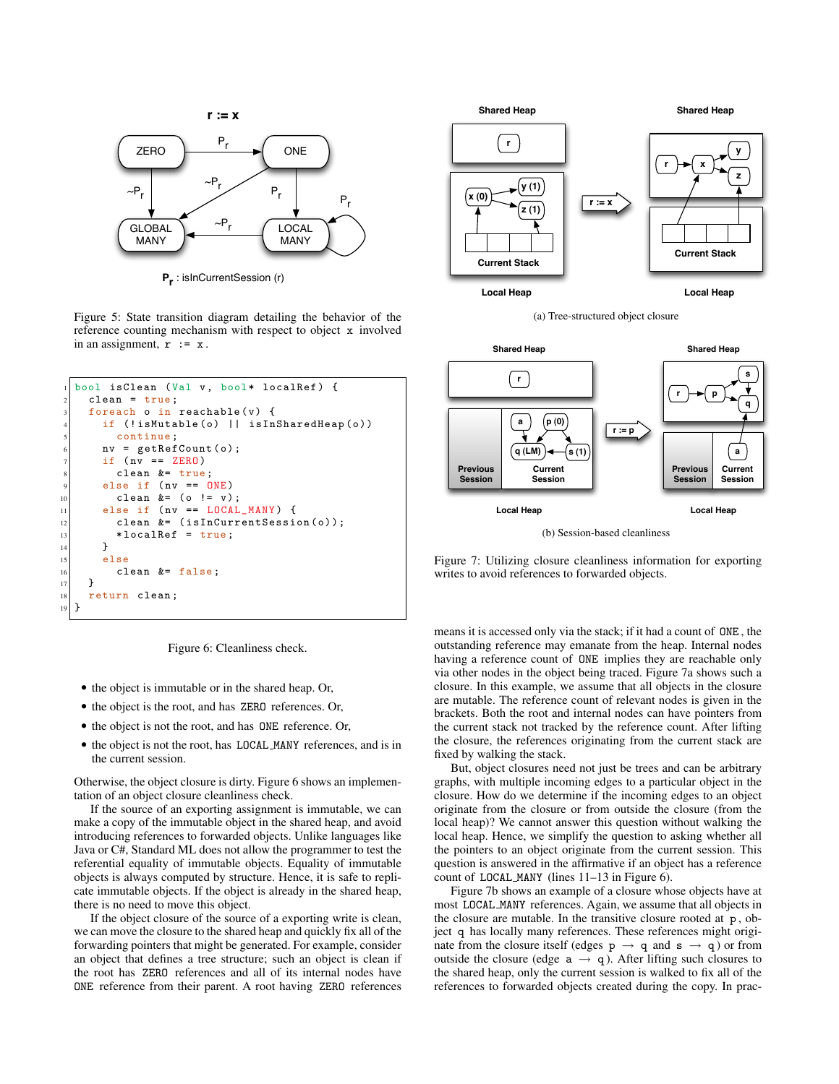

**Pr** : isInCurrentSession (r)

Figure 5: State transition diagram detailing the behavior of the reference counting mechanism with respect to object x involved in an assignment,  $r := x$ .



Figure 6: Cleanliness check.

- the object is immutable or in the shared heap. Or,
- the object is the root, and has ZERO references. Or,
- the object is not the root, and has ONE reference. Or,
- the object is not the root, has LOCAL MANY references, and is in the current session.

Otherwise, the object closure is dirty. Figure 6 shows an implementation of an object closure cleanliness check.

If the source of an exporting assignment is immutable, we can make a copy of the immutable object in the shared heap, and avoid introducing references to forwarded objects. Unlike languages like Java or C#, Standard ML does not allow the programmer to test the referential equality of immutable objects. Equality of immutable objects is always computed by structure. Hence, it is safe to replicate immutable objects. If the object is already in the shared heap, there is no need to move this object.

If the object closure of the source of a exporting write is clean, we can move the closure to the shared heap and quickly fix all of the forwarding pointers that might be generated. For example, consider an object that defines a tree structure; such an object is clean if the root has ZERO references and all of its internal nodes have ONE reference from their parent. A root having ZERO references



(a) Tree-structured object closure



(b) Session-based cleanliness

Figure 7: Utilizing closure cleanliness information for exporting writes to avoid references to forwarded objects.

means it is accessed only via the stack; if it had a count of ONE , the outstanding reference may emanate from the heap. Internal nodes having a reference count of ONE implies they are reachable only via other nodes in the object being traced. Figure 7a shows such a closure. In this example, we assume that all objects in the closure are mutable. The reference count of relevant nodes is given in the brackets. Both the root and internal nodes can have pointers from the current stack not tracked by the reference count. After lifting the closure, the references originating from the current stack are fixed by walking the stack.

But, object closures need not just be trees and can be arbitrary graphs, with multiple incoming edges to a particular object in the closure. How do we determine if the incoming edges to an object originate from the closure or from outside the closure (from the local heap)? We cannot answer this question without walking the local heap. Hence, we simplify the question to asking whether all the pointers to an object originate from the current session. This question is answered in the affirmative if an object has a reference count of LOCAL MANY (lines 11–13 in Figure 6).

Figure 7b shows an example of a closure whose objects have at most LOCAL MANY references. Again, we assume that all objects in the closure are mutable. In the transitive closure rooted at p , object q has locally many references. These references might originate from the closure itself (edges  $p \rightarrow q$  and  $s \rightarrow q$ ) or from outside the closure (edge  $a \rightarrow q$ ). After lifting such closures to the shared heap, only the current session is walked to fix all of the references to forwarded objects created during the copy. In prac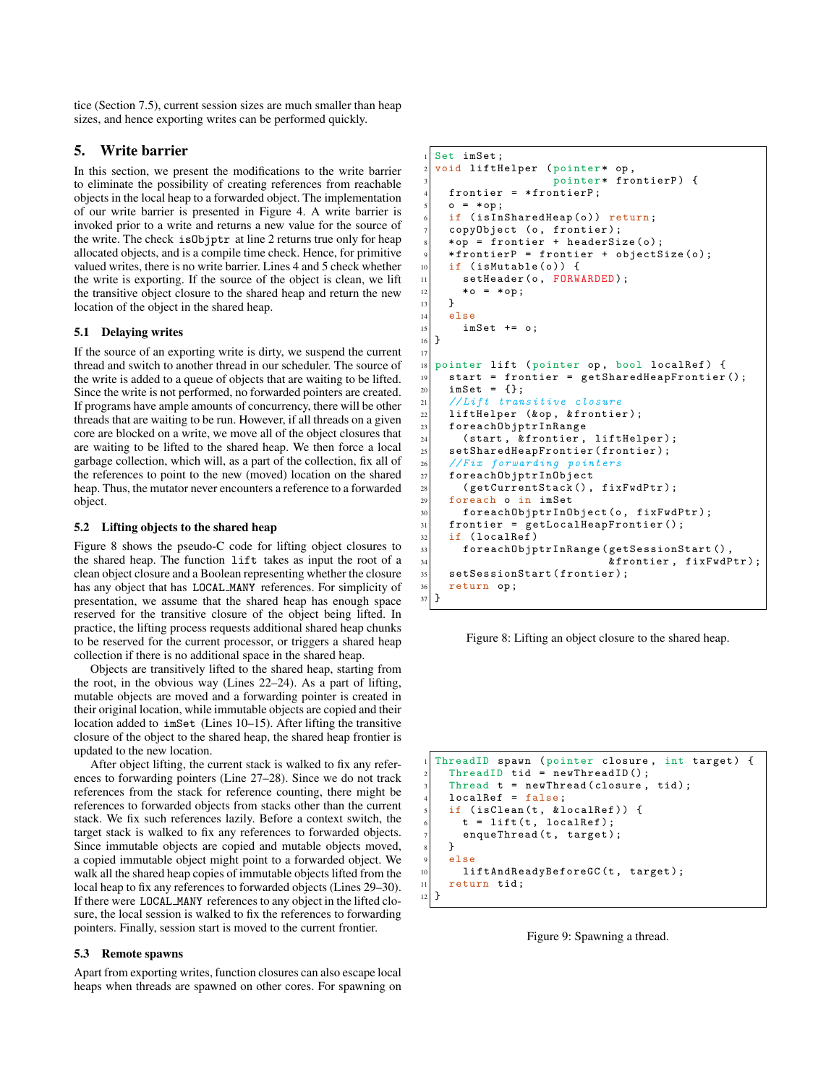tice (Section 7.5), current session sizes are much smaller than heap sizes, and hence exporting writes can be performed quickly.

# 5. Write barrier

In this section, we present the modifications to the write barrier to eliminate the possibility of creating references from reachable objects in the local heap to a forwarded object. The implementation of our write barrier is presented in Figure 4. A write barrier is invoked prior to a write and returns a new value for the source of the write. The check isObjptr at line 2 returns true only for heap allocated objects, and is a compile time check. Hence, for primitive valued writes, there is no write barrier. Lines 4 and 5 check whether the write is exporting. If the source of the object is clean, we lift the transitive object closure to the shared heap and return the new location of the object in the shared heap.

## 5.1 Delaying writes

If the source of an exporting write is dirty, we suspend the current thread and switch to another thread in our scheduler. The source of the write is added to a queue of objects that are waiting to be lifted. Since the write is not performed, no forwarded pointers are created. If programs have ample amounts of concurrency, there will be other threads that are waiting to be run. However, if all threads on a given core are blocked on a write, we move all of the object closures that are waiting to be lifted to the shared heap. We then force a local garbage collection, which will, as a part of the collection, fix all of the references to point to the new (moved) location on the shared heap. Thus, the mutator never encounters a reference to a forwarded object.

### 5.2 Lifting objects to the shared heap

Figure 8 shows the pseudo-C code for lifting object closures to the shared heap. The function lift takes as input the root of a clean object closure and a Boolean representing whether the closure has any object that has LOCAL MANY references. For simplicity of presentation, we assume that the shared heap has enough space reserved for the transitive closure of the object being lifted. In practice, the lifting process requests additional shared heap chunks to be reserved for the current processor, or triggers a shared heap collection if there is no additional space in the shared heap.

Objects are transitively lifted to the shared heap, starting from the root, in the obvious way (Lines 22–24). As a part of lifting, mutable objects are moved and a forwarding pointer is created in their original location, while immutable objects are copied and their location added to imSet (Lines 10–15). After lifting the transitive closure of the object to the shared heap, the shared heap frontier is updated to the new location.

After object lifting, the current stack is walked to fix any references to forwarding pointers (Line 27–28). Since we do not track references from the stack for reference counting, there might be references to forwarded objects from stacks other than the current stack. We fix such references lazily. Before a context switch, the target stack is walked to fix any references to forwarded objects. Since immutable objects are copied and mutable objects moved, a copied immutable object might point to a forwarded object. We walk all the shared heap copies of immutable objects lifted from the local heap to fix any references to forwarded objects (Lines 29–30). If there were LOCAL MANY references to any object in the lifted closure, the local session is walked to fix the references to forwarding pointers. Finally, session start is moved to the current frontier.

## 5.3 Remote spawns

Apart from exporting writes, function closures can also escape local heaps when threads are spawned on other cores. For spawning on

```
Set imSet;
  void liftHelper (pointer* op,
                     pointer* frontierP) {
    frontier = *frontier;
    o = * op;
    if ( isInSharedHeap (o ) ) return;
    copyObject (o, frontier);
    * op = frontier + headerSize(o);
    *frontierP = frontier + objective(Size ( o ) ;if (isMutable ( o)) {
11 setHeader (o, FORWARDED);
|12| * o = * op;
13 }
14 else
15 imSet += o;
16 }
17
18 pointer lift (pointer op, bool localRef) {
19 start = frontier = getSharedHeapFrontier () ;
_{20} imSet = {};
21 //Lift transitive closure
22 liftHelper (& op, & frontier);<br>
foreach ObintrIn Range
    foreachObjptrInRange
24 (start, & frontier, liftHelper);<br>
25 setSharedHeapFrontier (frontier):
    setSharedHeapFrontier (frontier);
26 // Fix forwarding pointers
27 foreachObjptrInObject
28 ( getCurrentStack ( ), fixFwdPtr );
29 foreach o in imSet
30 foreachObjptrInObject (o, fixFwdPtr);
31 frontier = getLocalHeapFrontier();
32 if (localRef)
33 foreachObjptrInRange (getSessionStart (),
\text{34} & frontier, fixFwdPtr);
35 setSessionStart (frontier);<br>36 return op;
    return op:
37 }
```
Figure 8: Lifting an object closure to the shared heap.

```
ThreadID spawn (pointer closure, int target) {
    ThreadID tid = newThreadID();
    Thread t = newThread (closure, tid);localRef = false;if (isClean(t, &localRef)) {
      t = \text{lift}(t, \text{ localRef});enqueThread (t, target);
    \mathcal{E}else
10 liftAndReadyBeforeGC (t, target);
11 return tid;
12 }
```
Figure 9: Spawning a thread.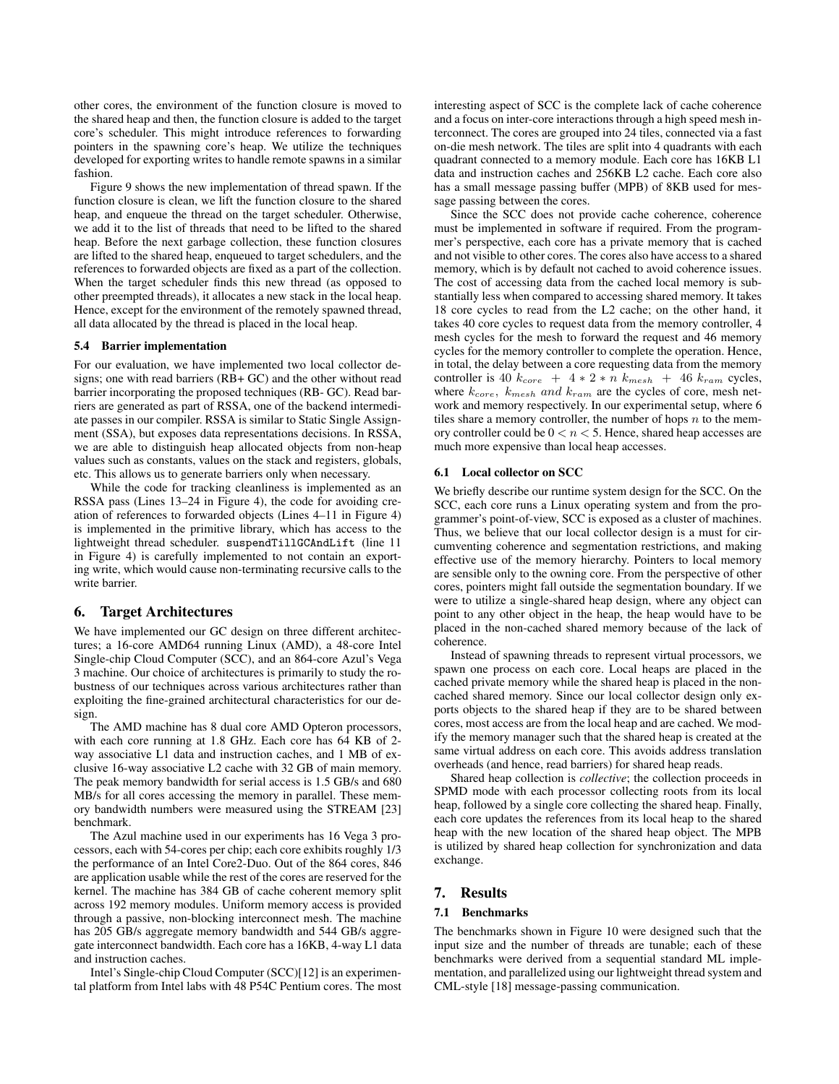other cores, the environment of the function closure is moved to the shared heap and then, the function closure is added to the target core's scheduler. This might introduce references to forwarding pointers in the spawning core's heap. We utilize the techniques developed for exporting writes to handle remote spawns in a similar fashion.

Figure 9 shows the new implementation of thread spawn. If the function closure is clean, we lift the function closure to the shared heap, and enqueue the thread on the target scheduler. Otherwise, we add it to the list of threads that need to be lifted to the shared heap. Before the next garbage collection, these function closures are lifted to the shared heap, enqueued to target schedulers, and the references to forwarded objects are fixed as a part of the collection. When the target scheduler finds this new thread (as opposed to other preempted threads), it allocates a new stack in the local heap. Hence, except for the environment of the remotely spawned thread, all data allocated by the thread is placed in the local heap.

#### 5.4 Barrier implementation

For our evaluation, we have implemented two local collector designs; one with read barriers (RB+ GC) and the other without read barrier incorporating the proposed techniques (RB- GC). Read barriers are generated as part of RSSA, one of the backend intermediate passes in our compiler. RSSA is similar to Static Single Assignment (SSA), but exposes data representations decisions. In RSSA, we are able to distinguish heap allocated objects from non-heap values such as constants, values on the stack and registers, globals, etc. This allows us to generate barriers only when necessary.

While the code for tracking cleanliness is implemented as an RSSA pass (Lines 13–24 in Figure 4), the code for avoiding creation of references to forwarded objects (Lines 4–11 in Figure 4) is implemented in the primitive library, which has access to the lightweight thread scheduler. suspendTillGCAndLift (line 11 in Figure 4) is carefully implemented to not contain an exporting write, which would cause non-terminating recursive calls to the write barrier.

#### 6. Target Architectures

We have implemented our GC design on three different architectures; a 16-core AMD64 running Linux (AMD), a 48-core Intel Single-chip Cloud Computer (SCC), and an 864-core Azul's Vega 3 machine. Our choice of architectures is primarily to study the robustness of our techniques across various architectures rather than exploiting the fine-grained architectural characteristics for our design.

The AMD machine has 8 dual core AMD Opteron processors, with each core running at 1.8 GHz. Each core has 64 KB of 2 way associative L1 data and instruction caches, and 1 MB of exclusive 16-way associative L2 cache with 32 GB of main memory. The peak memory bandwidth for serial access is 1.5 GB/s and 680 MB/s for all cores accessing the memory in parallel. These memory bandwidth numbers were measured using the STREAM [23] benchmark.

The Azul machine used in our experiments has 16 Vega 3 processors, each with 54-cores per chip; each core exhibits roughly 1/3 the performance of an Intel Core2-Duo. Out of the 864 cores, 846 are application usable while the rest of the cores are reserved for the kernel. The machine has 384 GB of cache coherent memory split across 192 memory modules. Uniform memory access is provided through a passive, non-blocking interconnect mesh. The machine has 205 GB/s aggregate memory bandwidth and 544 GB/s aggregate interconnect bandwidth. Each core has a 16KB, 4-way L1 data and instruction caches.

Intel's Single-chip Cloud Computer (SCC)[12] is an experimental platform from Intel labs with 48 P54C Pentium cores. The most interesting aspect of SCC is the complete lack of cache coherence and a focus on inter-core interactions through a high speed mesh interconnect. The cores are grouped into 24 tiles, connected via a fast on-die mesh network. The tiles are split into 4 quadrants with each quadrant connected to a memory module. Each core has 16KB L1 data and instruction caches and 256KB L2 cache. Each core also has a small message passing buffer (MPB) of 8KB used for message passing between the cores.

Since the SCC does not provide cache coherence, coherence must be implemented in software if required. From the programmer's perspective, each core has a private memory that is cached and not visible to other cores. The cores also have access to a shared memory, which is by default not cached to avoid coherence issues. The cost of accessing data from the cached local memory is substantially less when compared to accessing shared memory. It takes 18 core cycles to read from the L2 cache; on the other hand, it takes 40 core cycles to request data from the memory controller, 4 mesh cycles for the mesh to forward the request and 46 memory cycles for the memory controller to complete the operation. Hence, in total, the delay between a core requesting data from the memory controller is 40  $k_{core}$  + 4  $*$  2  $*$  n  $k_{mesh}$  + 46  $k_{ram}$  cycles, where  $k_{core}$ ,  $k_{mesh}$  and  $k_{ram}$  are the cycles of core, mesh network and memory respectively. In our experimental setup, where 6 tiles share a memory controller, the number of hops  $n$  to the memory controller could be  $0 < n < 5$ . Hence, shared heap accesses are much more expensive than local heap accesses.

# 6.1 Local collector on SCC

We briefly describe our runtime system design for the SCC. On the SCC, each core runs a Linux operating system and from the programmer's point-of-view, SCC is exposed as a cluster of machines. Thus, we believe that our local collector design is a must for circumventing coherence and segmentation restrictions, and making effective use of the memory hierarchy. Pointers to local memory are sensible only to the owning core. From the perspective of other cores, pointers might fall outside the segmentation boundary. If we were to utilize a single-shared heap design, where any object can point to any other object in the heap, the heap would have to be placed in the non-cached shared memory because of the lack of coherence.

Instead of spawning threads to represent virtual processors, we spawn one process on each core. Local heaps are placed in the cached private memory while the shared heap is placed in the noncached shared memory. Since our local collector design only exports objects to the shared heap if they are to be shared between cores, most access are from the local heap and are cached. We modify the memory manager such that the shared heap is created at the same virtual address on each core. This avoids address translation overheads (and hence, read barriers) for shared heap reads.

Shared heap collection is *collective*; the collection proceeds in SPMD mode with each processor collecting roots from its local heap, followed by a single core collecting the shared heap. Finally, each core updates the references from its local heap to the shared heap with the new location of the shared heap object. The MPB is utilized by shared heap collection for synchronization and data exchange.

# 7. Results

#### 7.1 Benchmarks

The benchmarks shown in Figure 10 were designed such that the input size and the number of threads are tunable; each of these benchmarks were derived from a sequential standard ML implementation, and parallelized using our lightweight thread system and CML-style [18] message-passing communication.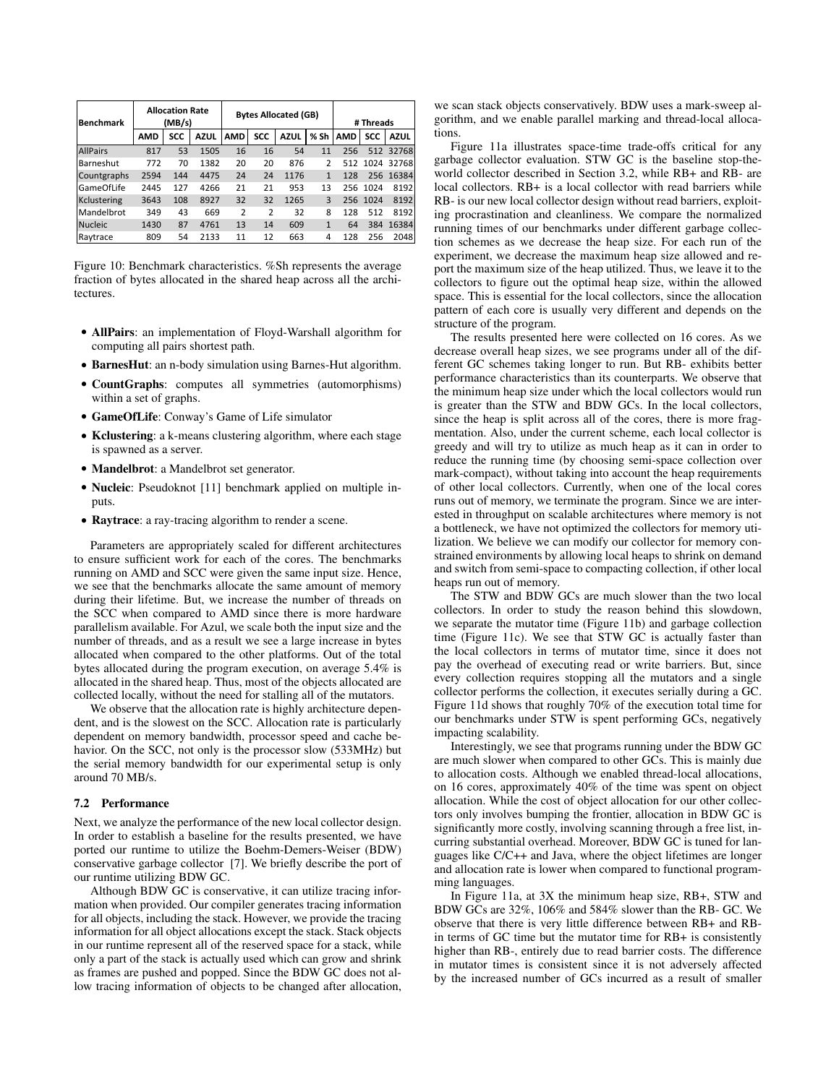| <b>Benchmark</b> | <b>Allocation Rate</b><br>(MB/s) |     |             |                |                | <b>Bytes Allocated (GB)</b> | # Threads |            |            |             |
|------------------|----------------------------------|-----|-------------|----------------|----------------|-----------------------------|-----------|------------|------------|-------------|
|                  | <b>AMD</b>                       | SCC | <b>AZUL</b> | <b>AMD</b>     | <b>SCC</b>     | <b>AZUL</b>                 | % Sh      | <b>AMD</b> | <b>SCC</b> | <b>AZUL</b> |
| <b>AllPairs</b>  | 817                              | 53  | 1505        | 16             | 16             | 54                          | 11        | 256        |            | 512 32768   |
| Barneshut        | 772                              | 70  | 1382        | 20             | 20             | 876                         | 2         | 512        |            | 1024 32768  |
| Countgraphs      | 2594                             | 144 | 4475        | 24             | 24             | 1176                        | 1         | 128        | 256        | 16384       |
| GameOfLife       | 2445                             | 127 | 4266        | 21             | 21             | 953                         | 13        | 256        | 1024       | 8192        |
| Kclustering      | 3643                             | 108 | 8927        | 32             | 32             | 1265                        | 3         |            | 256 1024   | 8192        |
| Mandelbrot       | 349                              | 43  | 669         | $\overline{2}$ | $\overline{2}$ | 32                          | 8         | 128        | 512        | 8192        |
| <b>Nucleic</b>   | 1430                             | 87  | 4761        | 13             | 14             | 609                         | 1         | 64         | 384        | 16384       |
| Raytrace         | 809                              | 54  | 2133        | 11             | 12             | 663                         | 4         | 128        | 256        | 2048        |

Figure 10: Benchmark characteristics. %Sh represents the average fraction of bytes allocated in the shared heap across all the architectures.

- AllPairs: an implementation of Floyd-Warshall algorithm for computing all pairs shortest path.
- BarnesHut: an n-body simulation using Barnes-Hut algorithm.
- CountGraphs: computes all symmetries (automorphisms) within a set of graphs.
- GameOfLife: Conway's Game of Life simulator
- Kclustering: a k-means clustering algorithm, where each stage is spawned as a server.
- Mandelbrot: a Mandelbrot set generator.
- Nucleic: Pseudoknot [11] benchmark applied on multiple inputs.
- Raytrace: a ray-tracing algorithm to render a scene.

Parameters are appropriately scaled for different architectures to ensure sufficient work for each of the cores. The benchmarks running on AMD and SCC were given the same input size. Hence, we see that the benchmarks allocate the same amount of memory during their lifetime. But, we increase the number of threads on the SCC when compared to AMD since there is more hardware parallelism available. For Azul, we scale both the input size and the number of threads, and as a result we see a large increase in bytes allocated when compared to the other platforms. Out of the total bytes allocated during the program execution, on average 5.4% is allocated in the shared heap. Thus, most of the objects allocated are collected locally, without the need for stalling all of the mutators.

We observe that the allocation rate is highly architecture dependent, and is the slowest on the SCC. Allocation rate is particularly dependent on memory bandwidth, processor speed and cache behavior. On the SCC, not only is the processor slow (533MHz) but the serial memory bandwidth for our experimental setup is only around 70 MB/s.

#### 7.2 Performance

Next, we analyze the performance of the new local collector design. In order to establish a baseline for the results presented, we have ported our runtime to utilize the Boehm-Demers-Weiser (BDW) conservative garbage collector [7]. We briefly describe the port of our runtime utilizing BDW GC.

Although BDW GC is conservative, it can utilize tracing information when provided. Our compiler generates tracing information for all objects, including the stack. However, we provide the tracing information for all object allocations except the stack. Stack objects in our runtime represent all of the reserved space for a stack, while only a part of the stack is actually used which can grow and shrink as frames are pushed and popped. Since the BDW GC does not allow tracing information of objects to be changed after allocation,

we scan stack objects conservatively. BDW uses a mark-sweep algorithm, and we enable parallel marking and thread-local allocations.

Figure 11a illustrates space-time trade-offs critical for any garbage collector evaluation. STW GC is the baseline stop-theworld collector described in Section 3.2, while RB+ and RB- are local collectors. RB+ is a local collector with read barriers while RB- is our new local collector design without read barriers, exploiting procrastination and cleanliness. We compare the normalized running times of our benchmarks under different garbage collection schemes as we decrease the heap size. For each run of the experiment, we decrease the maximum heap size allowed and report the maximum size of the heap utilized. Thus, we leave it to the collectors to figure out the optimal heap size, within the allowed space. This is essential for the local collectors, since the allocation pattern of each core is usually very different and depends on the structure of the program.

The results presented here were collected on 16 cores. As we decrease overall heap sizes, we see programs under all of the different GC schemes taking longer to run. But RB- exhibits better performance characteristics than its counterparts. We observe that the minimum heap size under which the local collectors would run is greater than the STW and BDW GCs. In the local collectors, since the heap is split across all of the cores, there is more fragmentation. Also, under the current scheme, each local collector is greedy and will try to utilize as much heap as it can in order to reduce the running time (by choosing semi-space collection over mark-compact), without taking into account the heap requirements of other local collectors. Currently, when one of the local cores runs out of memory, we terminate the program. Since we are interested in throughput on scalable architectures where memory is not a bottleneck, we have not optimized the collectors for memory utilization. We believe we can modify our collector for memory constrained environments by allowing local heaps to shrink on demand and switch from semi-space to compacting collection, if other local heaps run out of memory.

The STW and BDW GCs are much slower than the two local collectors. In order to study the reason behind this slowdown, we separate the mutator time (Figure 11b) and garbage collection time (Figure 11c). We see that STW GC is actually faster than the local collectors in terms of mutator time, since it does not pay the overhead of executing read or write barriers. But, since every collection requires stopping all the mutators and a single collector performs the collection, it executes serially during a GC. Figure 11d shows that roughly 70% of the execution total time for our benchmarks under STW is spent performing GCs, negatively impacting scalability.

Interestingly, we see that programs running under the BDW GC are much slower when compared to other GCs. This is mainly due to allocation costs. Although we enabled thread-local allocations, on 16 cores, approximately 40% of the time was spent on object allocation. While the cost of object allocation for our other collectors only involves bumping the frontier, allocation in BDW GC is significantly more costly, involving scanning through a free list, incurring substantial overhead. Moreover, BDW GC is tuned for languages like C/C++ and Java, where the object lifetimes are longer and allocation rate is lower when compared to functional programming languages.

In Figure 11a, at 3X the minimum heap size, RB+, STW and BDW GCs are 32%, 106% and 584% slower than the RB- GC. We observe that there is very little difference between RB+ and RBin terms of GC time but the mutator time for RB+ is consistently higher than RB-, entirely due to read barrier costs. The difference in mutator times is consistent since it is not adversely affected by the increased number of GCs incurred as a result of smaller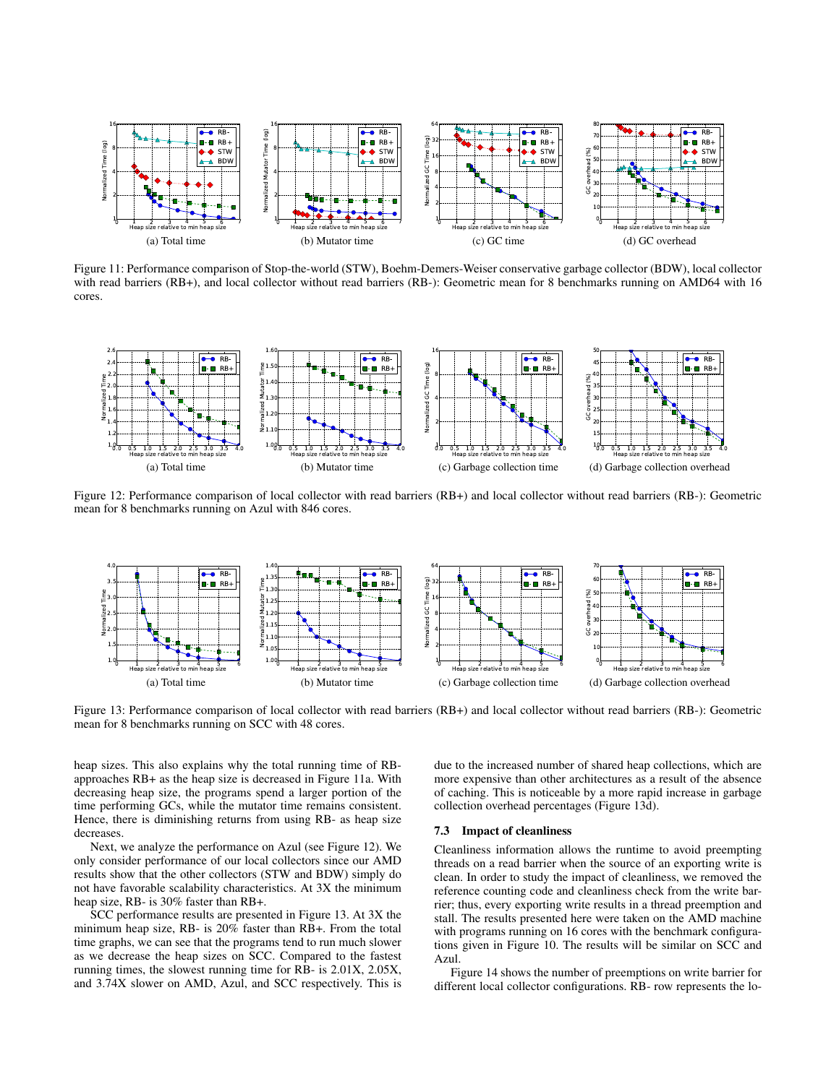

Figure 11: Performance comparison of Stop-the-world (STW), Boehm-Demers-Weiser conservative garbage collector (BDW), local collector with read barriers (RB+), and local collector without read barriers (RB-): Geometric mean for 8 benchmarks running on AMD64 with 16 cores.



Figure 12: Performance comparison of local collector with read barriers (RB+) and local collector without read barriers (RB-): Geometric mean for 8 benchmarks running on Azul with 846 cores.



Figure 13: Performance comparison of local collector with read barriers (RB+) and local collector without read barriers (RB-): Geometric mean for 8 benchmarks running on SCC with 48 cores.

heap sizes. This also explains why the total running time of RBapproaches RB+ as the heap size is decreased in Figure 11a. With decreasing heap size, the programs spend a larger portion of the time performing GCs, while the mutator time remains consistent. Hence, there is diminishing returns from using RB- as heap size decreases.

Next, we analyze the performance on Azul (see Figure 12). We only consider performance of our local collectors since our AMD results show that the other collectors (STW and BDW) simply do not have favorable scalability characteristics. At 3X the minimum heap size, RB- is 30% faster than RB+.

SCC performance results are presented in Figure 13. At 3X the minimum heap size, RB- is 20% faster than RB+. From the total time graphs, we can see that the programs tend to run much slower as we decrease the heap sizes on SCC. Compared to the fastest running times, the slowest running time for RB- is 2.01X, 2.05X, and 3.74X slower on AMD, Azul, and SCC respectively. This is

due to the increased number of shared heap collections, which are more expensive than other architectures as a result of the absence of caching. This is noticeable by a more rapid increase in garbage collection overhead percentages (Figure 13d).

#### 7.3 Impact of cleanliness

Cleanliness information allows the runtime to avoid preempting threads on a read barrier when the source of an exporting write is clean. In order to study the impact of cleanliness, we removed the reference counting code and cleanliness check from the write barrier; thus, every exporting write results in a thread preemption and stall. The results presented here were taken on the AMD machine with programs running on 16 cores with the benchmark configurations given in Figure 10. The results will be similar on SCC and Azul.

Figure 14 shows the number of preemptions on write barrier for different local collector configurations. RB- row represents the lo-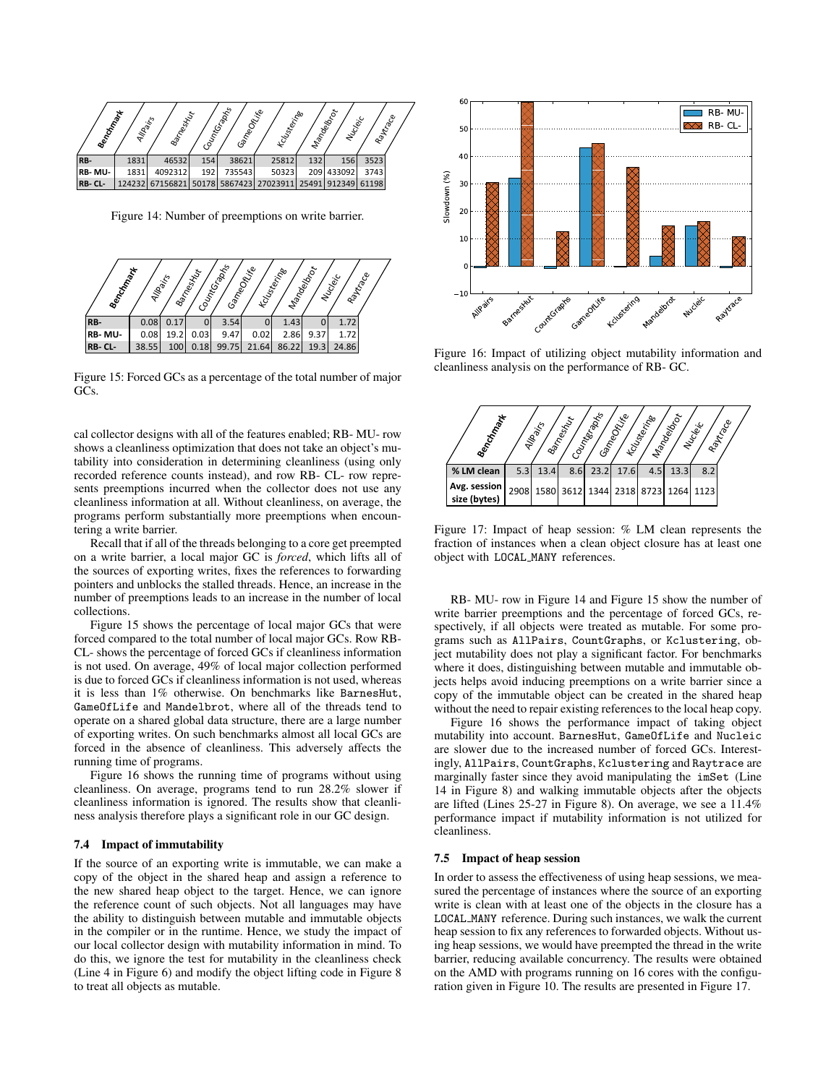

Figure 14: Number of preemptions on write barrier.



Figure 15: Forced GCs as a percentage of the total number of major GCs.

cal collector designs with all of the features enabled; RB- MU- row shows a cleanliness optimization that does not take an object's mutability into consideration in determining cleanliness (using only recorded reference counts instead), and row RB- CL- row represents preemptions incurred when the collector does not use any cleanliness information at all. Without cleanliness, on average, the programs perform substantially more preemptions when encountering a write barrier.

Recall that if all of the threads belonging to a core get preempted on a write barrier, a local major GC is *forced*, which lifts all of the sources of exporting writes, fixes the references to forwarding pointers and unblocks the stalled threads. Hence, an increase in the number of preemptions leads to an increase in the number of local collections.

Figure 15 shows the percentage of local major GCs that were forced compared to the total number of local major GCs. Row RB-CL- shows the percentage of forced GCs if cleanliness information is not used. On average, 49% of local major collection performed is due to forced GCs if cleanliness information is not used, whereas it is less than 1% otherwise. On benchmarks like BarnesHut, GameOfLife and Mandelbrot, where all of the threads tend to operate on a shared global data structure, there are a large number of exporting writes. On such benchmarks almost all local GCs are forced in the absence of cleanliness. This adversely affects the running time of programs.

Figure 16 shows the running time of programs without using cleanliness. On average, programs tend to run 28.2% slower if cleanliness information is ignored. The results show that cleanliness analysis therefore plays a significant role in our GC design.

#### 7.4 Impact of immutability

If the source of an exporting write is immutable, we can make a copy of the object in the shared heap and assign a reference to the new shared heap object to the target. Hence, we can ignore the reference count of such objects. Not all languages may have the ability to distinguish between mutable and immutable objects in the compiler or in the runtime. Hence, we study the impact of our local collector design with mutability information in mind. To do this, we ignore the test for mutability in the cleanliness check (Line 4 in Figure 6) and modify the object lifting code in Figure 8 to treat all objects as mutable.



Figure 16: Impact of utilizing object mutability information and cleanliness analysis on the performance of RB- GC.

| <b>Benchman</b>              |      | Allpairs | Barnesday | Counteralists | Gameoptie | <b>Kouse Replying</b> | Mandeutice | Nucleic                            | Raytiace |
|------------------------------|------|----------|-----------|---------------|-----------|-----------------------|------------|------------------------------------|----------|
| % LM clean                   | 5.3  | 13.4     | 8.6       | 23.2          | 17.6      | 4.5                   | 13.3       | 8.2                                |          |
| Avg. session<br>size (bytes) | 2908 |          |           |               |           |                       |            | 1580 3612 1344 2318 8723 1264 1123 |          |

Figure 17: Impact of heap session: % LM clean represents the fraction of instances when a clean object closure has at least one object with LOCAL MANY references.

RB- MU- row in Figure 14 and Figure 15 show the number of write barrier preemptions and the percentage of forced GCs, respectively, if all objects were treated as mutable. For some programs such as AllPairs, CountGraphs, or Kclustering, object mutability does not play a significant factor. For benchmarks where it does, distinguishing between mutable and immutable objects helps avoid inducing preemptions on a write barrier since a copy of the immutable object can be created in the shared heap without the need to repair existing references to the local heap copy.

Figure 16 shows the performance impact of taking object mutability into account. BarnesHut, GameOfLife and Nucleic are slower due to the increased number of forced GCs. Interestingly, AllPairs, CountGraphs, Kclustering and Raytrace are marginally faster since they avoid manipulating the imSet (Line 14 in Figure 8) and walking immutable objects after the objects are lifted (Lines 25-27 in Figure 8). On average, we see a 11.4% performance impact if mutability information is not utilized for cleanliness.

### 7.5 Impact of heap session

In order to assess the effectiveness of using heap sessions, we measured the percentage of instances where the source of an exporting write is clean with at least one of the objects in the closure has a LOCAL MANY reference. During such instances, we walk the current heap session to fix any references to forwarded objects. Without using heap sessions, we would have preempted the thread in the write barrier, reducing available concurrency. The results were obtained on the AMD with programs running on 16 cores with the configuration given in Figure 10. The results are presented in Figure 17.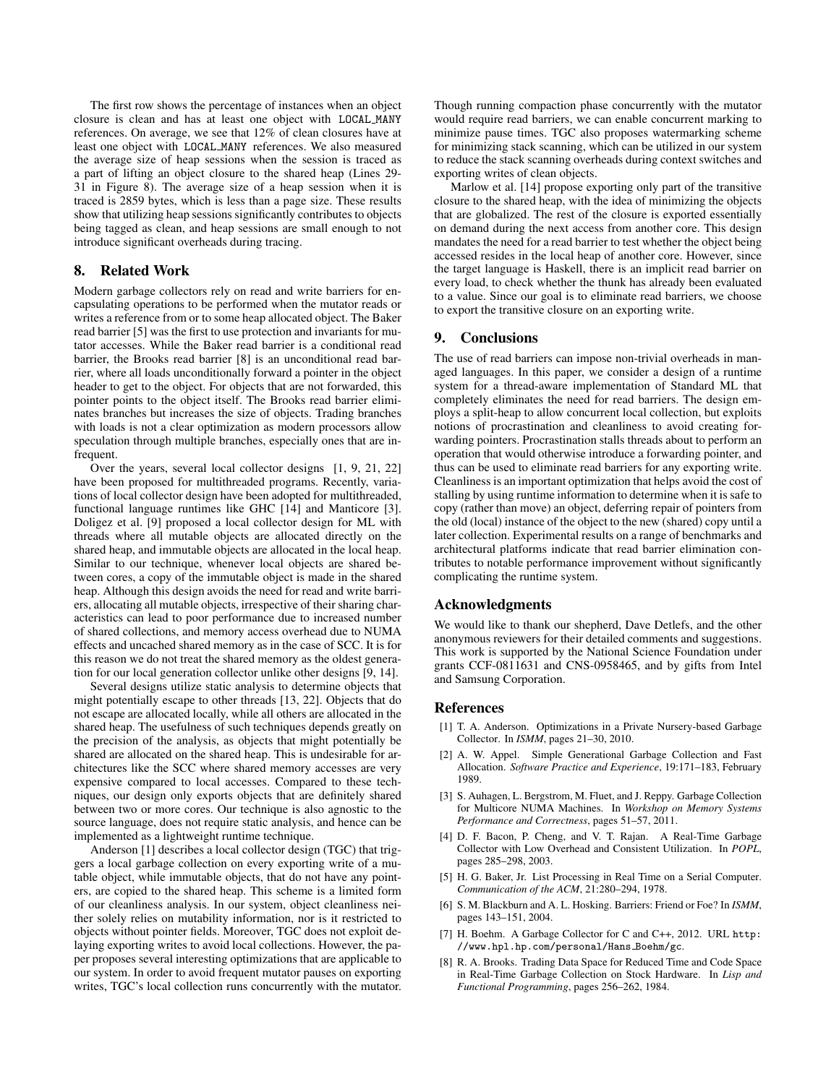The first row shows the percentage of instances when an object closure is clean and has at least one object with LOCAL MANY references. On average, we see that 12% of clean closures have at least one object with LOCAL MANY references. We also measured the average size of heap sessions when the session is traced as a part of lifting an object closure to the shared heap (Lines 29- 31 in Figure 8). The average size of a heap session when it is traced is 2859 bytes, which is less than a page size. These results show that utilizing heap sessions significantly contributes to objects being tagged as clean, and heap sessions are small enough to not introduce significant overheads during tracing.

# 8. Related Work

Modern garbage collectors rely on read and write barriers for encapsulating operations to be performed when the mutator reads or writes a reference from or to some heap allocated object. The Baker read barrier [5] was the first to use protection and invariants for mutator accesses. While the Baker read barrier is a conditional read barrier, the Brooks read barrier [8] is an unconditional read barrier, where all loads unconditionally forward a pointer in the object header to get to the object. For objects that are not forwarded, this pointer points to the object itself. The Brooks read barrier eliminates branches but increases the size of objects. Trading branches with loads is not a clear optimization as modern processors allow speculation through multiple branches, especially ones that are infrequent.

Over the years, several local collector designs [1, 9, 21, 22] have been proposed for multithreaded programs. Recently, variations of local collector design have been adopted for multithreaded, functional language runtimes like GHC [14] and Manticore [3]. Doligez et al. [9] proposed a local collector design for ML with threads where all mutable objects are allocated directly on the shared heap, and immutable objects are allocated in the local heap. Similar to our technique, whenever local objects are shared between cores, a copy of the immutable object is made in the shared heap. Although this design avoids the need for read and write barriers, allocating all mutable objects, irrespective of their sharing characteristics can lead to poor performance due to increased number of shared collections, and memory access overhead due to NUMA effects and uncached shared memory as in the case of SCC. It is for this reason we do not treat the shared memory as the oldest generation for our local generation collector unlike other designs [9, 14].

Several designs utilize static analysis to determine objects that might potentially escape to other threads [13, 22]. Objects that do not escape are allocated locally, while all others are allocated in the shared heap. The usefulness of such techniques depends greatly on the precision of the analysis, as objects that might potentially be shared are allocated on the shared heap. This is undesirable for architectures like the SCC where shared memory accesses are very expensive compared to local accesses. Compared to these techniques, our design only exports objects that are definitely shared between two or more cores. Our technique is also agnostic to the source language, does not require static analysis, and hence can be implemented as a lightweight runtime technique.

Anderson [1] describes a local collector design (TGC) that triggers a local garbage collection on every exporting write of a mutable object, while immutable objects, that do not have any pointers, are copied to the shared heap. This scheme is a limited form of our cleanliness analysis. In our system, object cleanliness neither solely relies on mutability information, nor is it restricted to objects without pointer fields. Moreover, TGC does not exploit delaying exporting writes to avoid local collections. However, the paper proposes several interesting optimizations that are applicable to our system. In order to avoid frequent mutator pauses on exporting writes, TGC's local collection runs concurrently with the mutator. Though running compaction phase concurrently with the mutator would require read barriers, we can enable concurrent marking to minimize pause times. TGC also proposes watermarking scheme for minimizing stack scanning, which can be utilized in our system to reduce the stack scanning overheads during context switches and exporting writes of clean objects.

Marlow et al. [14] propose exporting only part of the transitive closure to the shared heap, with the idea of minimizing the objects that are globalized. The rest of the closure is exported essentially on demand during the next access from another core. This design mandates the need for a read barrier to test whether the object being accessed resides in the local heap of another core. However, since the target language is Haskell, there is an implicit read barrier on every load, to check whether the thunk has already been evaluated to a value. Since our goal is to eliminate read barriers, we choose to export the transitive closure on an exporting write.

# 9. Conclusions

The use of read barriers can impose non-trivial overheads in managed languages. In this paper, we consider a design of a runtime system for a thread-aware implementation of Standard ML that completely eliminates the need for read barriers. The design employs a split-heap to allow concurrent local collection, but exploits notions of procrastination and cleanliness to avoid creating forwarding pointers. Procrastination stalls threads about to perform an operation that would otherwise introduce a forwarding pointer, and thus can be used to eliminate read barriers for any exporting write. Cleanliness is an important optimization that helps avoid the cost of stalling by using runtime information to determine when it is safe to copy (rather than move) an object, deferring repair of pointers from the old (local) instance of the object to the new (shared) copy until a later collection. Experimental results on a range of benchmarks and architectural platforms indicate that read barrier elimination contributes to notable performance improvement without significantly complicating the runtime system.

# Acknowledgments

We would like to thank our shepherd, Dave Detlefs, and the other anonymous reviewers for their detailed comments and suggestions. This work is supported by the National Science Foundation under grants CCF-0811631 and CNS-0958465, and by gifts from Intel and Samsung Corporation.

# References

- [1] T. A. Anderson. Optimizations in a Private Nursery-based Garbage Collector. In *ISMM*, pages 21–30, 2010.
- [2] A. W. Appel. Simple Generational Garbage Collection and Fast Allocation. *Software Practice and Experience*, 19:171–183, February 1989.
- [3] S. Auhagen, L. Bergstrom, M. Fluet, and J. Reppy. Garbage Collection for Multicore NUMA Machines. In *Workshop on Memory Systems Performance and Correctness*, pages 51–57, 2011.
- [4] D. F. Bacon, P. Cheng, and V. T. Rajan. A Real-Time Garbage Collector with Low Overhead and Consistent Utilization. In *POPL*, pages 285–298, 2003.
- [5] H. G. Baker, Jr. List Processing in Real Time on a Serial Computer. *Communication of the ACM*, 21:280–294, 1978.
- [6] S. M. Blackburn and A. L. Hosking. Barriers: Friend or Foe? In *ISMM*, pages 143–151, 2004.
- [7] H. Boehm. A Garbage Collector for C and C++, 2012. URL http: //www.hpl.hp.com/personal/Hans Boehm/gc.
- R. A. Brooks. Trading Data Space for Reduced Time and Code Space in Real-Time Garbage Collection on Stock Hardware. In *Lisp and Functional Programming*, pages 256–262, 1984.